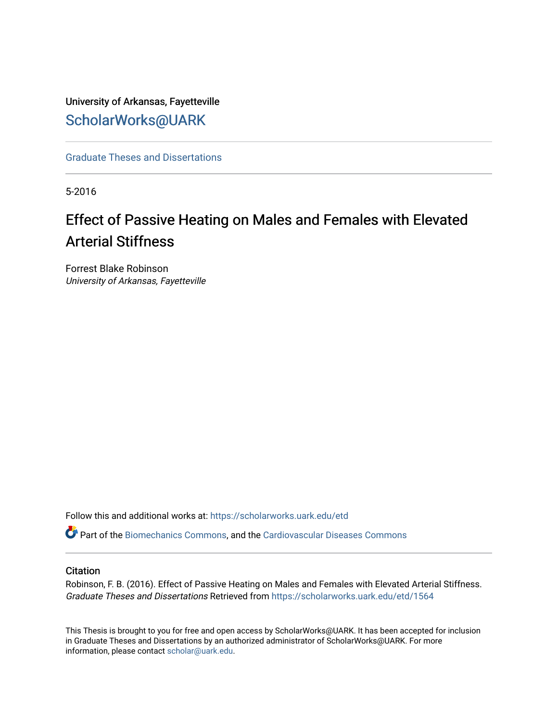University of Arkansas, Fayetteville [ScholarWorks@UARK](https://scholarworks.uark.edu/) 

[Graduate Theses and Dissertations](https://scholarworks.uark.edu/etd) 

5-2016

# Effect of Passive Heating on Males and Females with Elevated Arterial Stiffness

Forrest Blake Robinson University of Arkansas, Fayetteville

Follow this and additional works at: [https://scholarworks.uark.edu/etd](https://scholarworks.uark.edu/etd?utm_source=scholarworks.uark.edu%2Fetd%2F1564&utm_medium=PDF&utm_campaign=PDFCoverPages)

Part of the [Biomechanics Commons,](http://network.bepress.com/hgg/discipline/43?utm_source=scholarworks.uark.edu%2Fetd%2F1564&utm_medium=PDF&utm_campaign=PDFCoverPages) and the [Cardiovascular Diseases Commons](http://network.bepress.com/hgg/discipline/929?utm_source=scholarworks.uark.edu%2Fetd%2F1564&utm_medium=PDF&utm_campaign=PDFCoverPages) 

# **Citation**

Robinson, F. B. (2016). Effect of Passive Heating on Males and Females with Elevated Arterial Stiffness. Graduate Theses and Dissertations Retrieved from [https://scholarworks.uark.edu/etd/1564](https://scholarworks.uark.edu/etd/1564?utm_source=scholarworks.uark.edu%2Fetd%2F1564&utm_medium=PDF&utm_campaign=PDFCoverPages)

This Thesis is brought to you for free and open access by ScholarWorks@UARK. It has been accepted for inclusion in Graduate Theses and Dissertations by an authorized administrator of ScholarWorks@UARK. For more information, please contact [scholar@uark.edu.](mailto:scholar@uark.edu)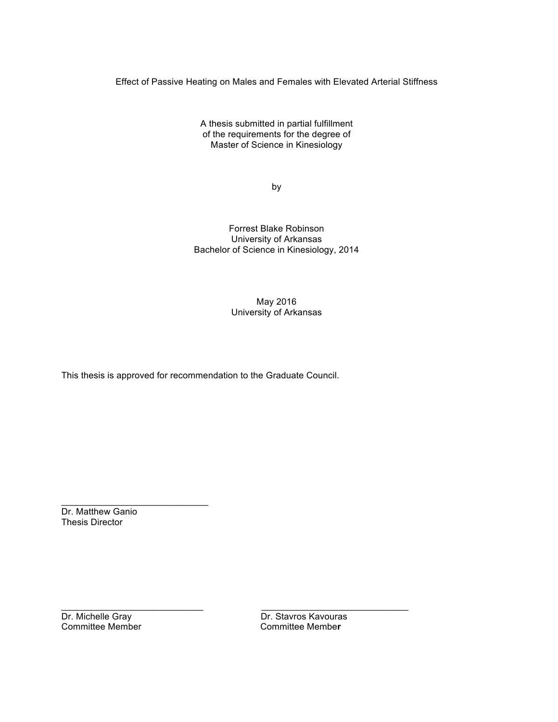Effect of Passive Heating on Males and Females with Elevated Arterial Stiffness

A thesis submitted in partial fulfillment of the requirements for the degree of Master of Science in Kinesiology

by

Forrest Blake Robinson University of Arkansas Bachelor of Science in Kinesiology, 2014

> May 2016 University of Arkansas

This thesis is approved for recommendation to the Graduate Council.

Dr. Matthew Ganio Thesis Director

 $\overline{\phantom{a}}$  , where  $\overline{\phantom{a}}$  , where  $\overline{\phantom{a}}$  , where  $\overline{\phantom{a}}$  , where  $\overline{\phantom{a}}$ 

Committee Member

Dr. Michelle Gray Dr. Stavros Kavouras<br>
Committee Member Committee Member

 $\_$  , and the set of the set of the set of the set of the set of the set of the set of the set of the set of the set of the set of the set of the set of the set of the set of the set of the set of the set of the set of th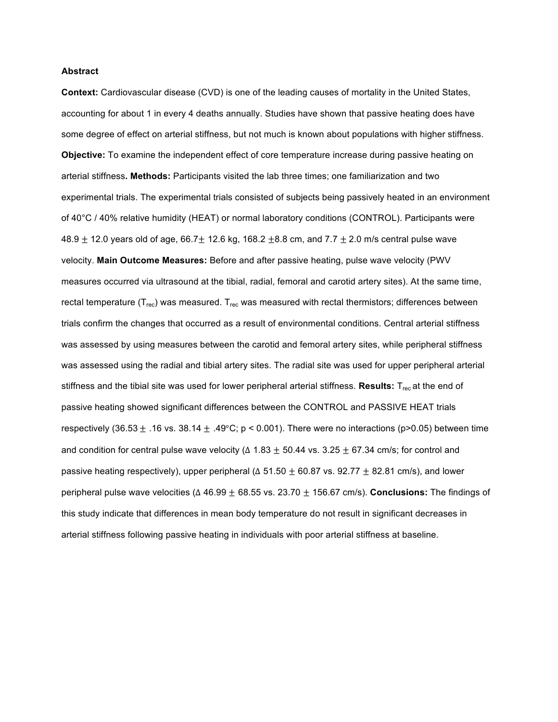## **Abstract**

**Context:** Cardiovascular disease (CVD) is one of the leading causes of mortality in the United States, accounting for about 1 in every 4 deaths annually. Studies have shown that passive heating does have some degree of effect on arterial stiffness, but not much is known about populations with higher stiffness. **Objective:** To examine the independent effect of core temperature increase during passive heating on arterial stiffness**. Methods:** Participants visited the lab three times; one familiarization and two experimental trials. The experimental trials consisted of subjects being passively heated in an environment of 40°C / 40% relative humidity (HEAT) or normal laboratory conditions (CONTROL). Participants were 48.9  $\pm$  12.0 years old of age, 66.7 $\pm$  12.6 kg, 168.2  $\pm$ 8.8 cm, and 7.7  $\pm$  2.0 m/s central pulse wave velocity. **Main Outcome Measures:** Before and after passive heating, pulse wave velocity (PWV measures occurred via ultrasound at the tibial, radial, femoral and carotid artery sites). At the same time, rectal temperature ( $T_{rec}$ ) was measured.  $T_{rec}$  was measured with rectal thermistors; differences between trials confirm the changes that occurred as a result of environmental conditions. Central arterial stiffness was assessed by using measures between the carotid and femoral artery sites, while peripheral stiffness was assessed using the radial and tibial artery sites. The radial site was used for upper peripheral arterial stiffness and the tibial site was used for lower peripheral arterial stiffness. Results: T<sub>rec</sub> at the end of passive heating showed significant differences between the CONTROL and PASSIVE HEAT trials respectively (36.53  $\pm$  .16 vs. 38.14  $\pm$  .49°C; p < 0.001). There were no interactions (p>0.05) between time and condition for central pulse wave velocity ( $\Delta$  1.83  $\pm$  50.44 vs. 3.25  $\pm$  67.34 cm/s; for control and passive heating respectively), upper peripheral ( $\Delta$  51.50  $\pm$  60.87 vs. 92.77  $\pm$  82.81 cm/s), and lower peripheral pulse wave velocities (∆ 46.99 ± 68.55 vs. 23.70 ± 156.67 cm/s). **Conclusions:** The findings of this study indicate that differences in mean body temperature do not result in significant decreases in arterial stiffness following passive heating in individuals with poor arterial stiffness at baseline.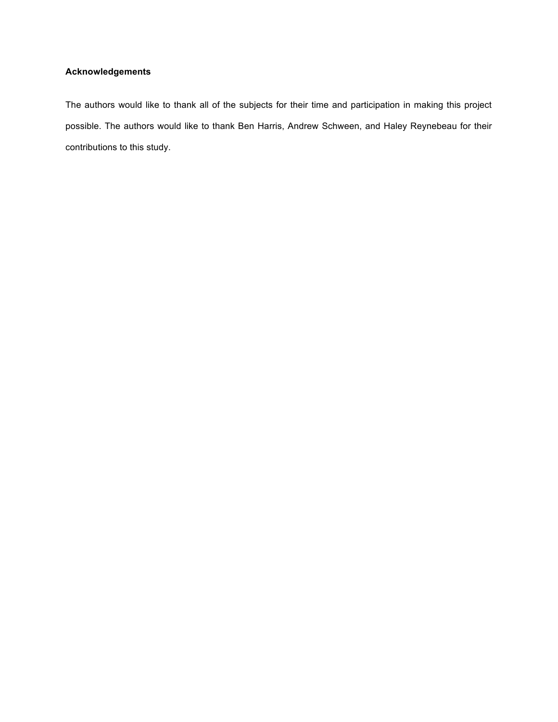# **Acknowledgements**

The authors would like to thank all of the subjects for their time and participation in making this project possible. The authors would like to thank Ben Harris, Andrew Schween, and Haley Reynebeau for their contributions to this study.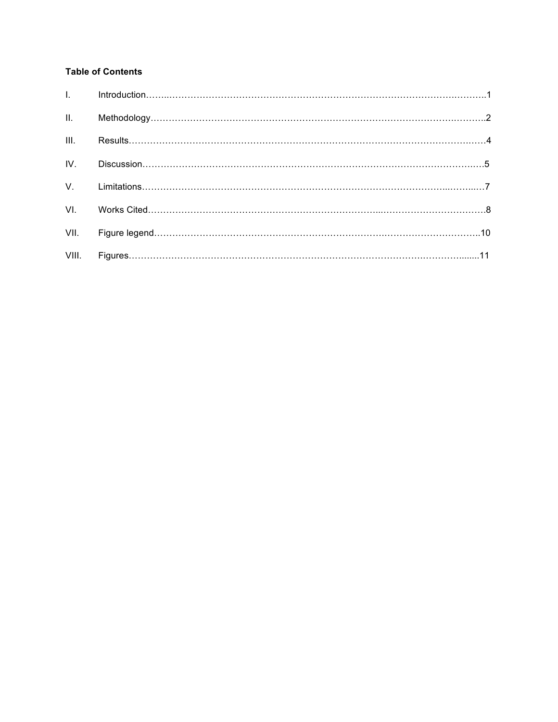# **Table of Contents**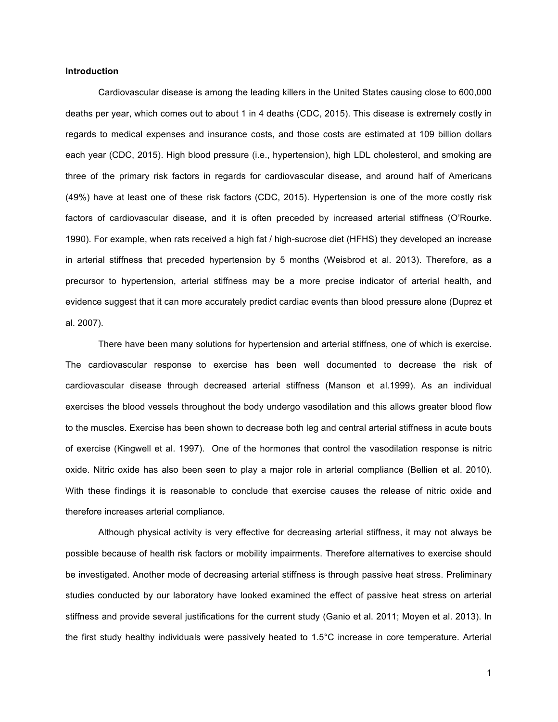## **Introduction**

Cardiovascular disease is among the leading killers in the United States causing close to 600,000 deaths per year, which comes out to about 1 in 4 deaths (CDC, 2015). This disease is extremely costly in regards to medical expenses and insurance costs, and those costs are estimated at 109 billion dollars each year (CDC, 2015). High blood pressure (i.e., hypertension), high LDL cholesterol, and smoking are three of the primary risk factors in regards for cardiovascular disease, and around half of Americans (49%) have at least one of these risk factors (CDC, 2015). Hypertension is one of the more costly risk factors of cardiovascular disease, and it is often preceded by increased arterial stiffness (O'Rourke. 1990). For example, when rats received a high fat / high-sucrose diet (HFHS) they developed an increase in arterial stiffness that preceded hypertension by 5 months (Weisbrod et al. 2013). Therefore, as a precursor to hypertension, arterial stiffness may be a more precise indicator of arterial health, and evidence suggest that it can more accurately predict cardiac events than blood pressure alone (Duprez et al. 2007).

There have been many solutions for hypertension and arterial stiffness, one of which is exercise. The cardiovascular response to exercise has been well documented to decrease the risk of cardiovascular disease through decreased arterial stiffness (Manson et al.1999). As an individual exercises the blood vessels throughout the body undergo vasodilation and this allows greater blood flow to the muscles. Exercise has been shown to decrease both leg and central arterial stiffness in acute bouts of exercise (Kingwell et al. 1997). One of the hormones that control the vasodilation response is nitric oxide. Nitric oxide has also been seen to play a major role in arterial compliance (Bellien et al. 2010). With these findings it is reasonable to conclude that exercise causes the release of nitric oxide and therefore increases arterial compliance.

Although physical activity is very effective for decreasing arterial stiffness, it may not always be possible because of health risk factors or mobility impairments. Therefore alternatives to exercise should be investigated. Another mode of decreasing arterial stiffness is through passive heat stress. Preliminary studies conducted by our laboratory have looked examined the effect of passive heat stress on arterial stiffness and provide several justifications for the current study (Ganio et al. 2011; Moyen et al. 2013). In the first study healthy individuals were passively heated to 1.5°C increase in core temperature. Arterial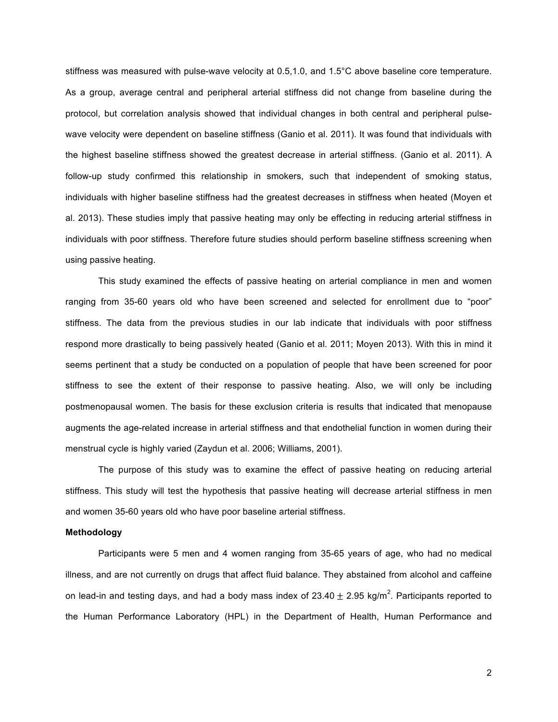stiffness was measured with pulse-wave velocity at 0.5,1.0, and 1.5°C above baseline core temperature. As a group, average central and peripheral arterial stiffness did not change from baseline during the protocol, but correlation analysis showed that individual changes in both central and peripheral pulsewave velocity were dependent on baseline stiffness (Ganio et al. 2011). It was found that individuals with the highest baseline stiffness showed the greatest decrease in arterial stiffness. (Ganio et al. 2011). A follow-up study confirmed this relationship in smokers, such that independent of smoking status, individuals with higher baseline stiffness had the greatest decreases in stiffness when heated (Moyen et al. 2013). These studies imply that passive heating may only be effecting in reducing arterial stiffness in individuals with poor stiffness. Therefore future studies should perform baseline stiffness screening when using passive heating.

This study examined the effects of passive heating on arterial compliance in men and women ranging from 35-60 years old who have been screened and selected for enrollment due to "poor" stiffness. The data from the previous studies in our lab indicate that individuals with poor stiffness respond more drastically to being passively heated (Ganio et al. 2011; Moyen 2013). With this in mind it seems pertinent that a study be conducted on a population of people that have been screened for poor stiffness to see the extent of their response to passive heating. Also, we will only be including postmenopausal women. The basis for these exclusion criteria is results that indicated that menopause augments the age-related increase in arterial stiffness and that endothelial function in women during their menstrual cycle is highly varied (Zaydun et al. 2006; Williams, 2001).

The purpose of this study was to examine the effect of passive heating on reducing arterial stiffness. This study will test the hypothesis that passive heating will decrease arterial stiffness in men and women 35-60 years old who have poor baseline arterial stiffness.

#### **Methodology**

Participants were 5 men and 4 women ranging from 35-65 years of age, who had no medical illness, and are not currently on drugs that affect fluid balance. They abstained from alcohol and caffeine on lead-in and testing days, and had a body mass index of 23.40  $\pm$  2.95 kg/m<sup>2</sup>. Participants reported to the Human Performance Laboratory (HPL) in the Department of Health, Human Performance and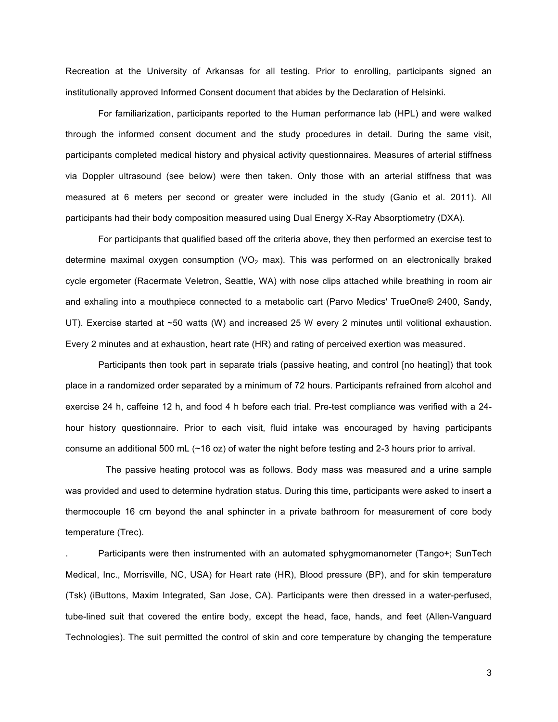Recreation at the University of Arkansas for all testing. Prior to enrolling, participants signed an institutionally approved Informed Consent document that abides by the Declaration of Helsinki.

For familiarization, participants reported to the Human performance lab (HPL) and were walked through the informed consent document and the study procedures in detail. During the same visit, participants completed medical history and physical activity questionnaires. Measures of arterial stiffness via Doppler ultrasound (see below) were then taken. Only those with an arterial stiffness that was measured at 6 meters per second or greater were included in the study (Ganio et al. 2011). All participants had their body composition measured using Dual Energy X-Ray Absorptiometry (DXA).

For participants that qualified based off the criteria above, they then performed an exercise test to determine maximal oxygen consumption  $(VO<sub>2</sub>$  max). This was performed on an electronically braked cycle ergometer (Racermate Veletron, Seattle, WA) with nose clips attached while breathing in room air and exhaling into a mouthpiece connected to a metabolic cart (Parvo Medics' TrueOne® 2400, Sandy, UT). Exercise started at ~50 watts (W) and increased 25 W every 2 minutes until volitional exhaustion. Every 2 minutes and at exhaustion, heart rate (HR) and rating of perceived exertion was measured.

Participants then took part in separate trials (passive heating, and control [no heating]) that took place in a randomized order separated by a minimum of 72 hours. Participants refrained from alcohol and exercise 24 h, caffeine 12 h, and food 4 h before each trial. Pre-test compliance was verified with a 24 hour history questionnaire. Prior to each visit, fluid intake was encouraged by having participants consume an additional 500 mL (~16 oz) of water the night before testing and 2-3 hours prior to arrival.

 The passive heating protocol was as follows. Body mass was measured and a urine sample was provided and used to determine hydration status. During this time, participants were asked to insert a thermocouple 16 cm beyond the anal sphincter in a private bathroom for measurement of core body temperature (Trec).

. Participants were then instrumented with an automated sphygmomanometer (Tango+; SunTech Medical, Inc., Morrisville, NC, USA) for Heart rate (HR), Blood pressure (BP), and for skin temperature (Tsk) (iButtons, Maxim Integrated, San Jose, CA). Participants were then dressed in a water-perfused, tube-lined suit that covered the entire body, except the head, face, hands, and feet (Allen-Vanguard Technologies). The suit permitted the control of skin and core temperature by changing the temperature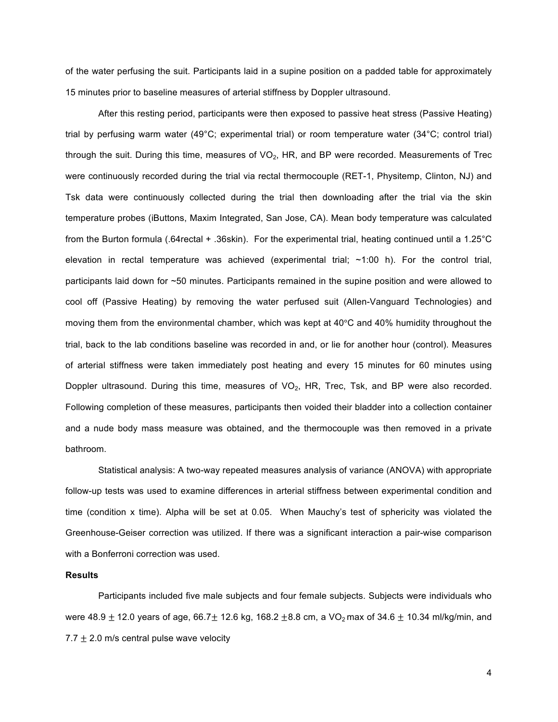of the water perfusing the suit. Participants laid in a supine position on a padded table for approximately 15 minutes prior to baseline measures of arterial stiffness by Doppler ultrasound.

 After this resting period, participants were then exposed to passive heat stress (Passive Heating) trial by perfusing warm water (49°C; experimental trial) or room temperature water (34°C; control trial) through the suit. During this time, measures of  $VO<sub>2</sub>$ , HR, and BP were recorded. Measurements of Trec were continuously recorded during the trial via rectal thermocouple (RET-1, Physitemp, Clinton, NJ) and Tsk data were continuously collected during the trial then downloading after the trial via the skin temperature probes (iButtons, Maxim Integrated, San Jose, CA). Mean body temperature was calculated from the Burton formula (.64rectal + .36skin). For the experimental trial, heating continued until a 1.25°C elevation in rectal temperature was achieved (experimental trial; ~1:00 h). For the control trial, participants laid down for ~50 minutes. Participants remained in the supine position and were allowed to cool off (Passive Heating) by removing the water perfused suit (Allen-Vanguard Technologies) and moving them from the environmental chamber, which was kept at 40°C and 40% humidity throughout the trial, back to the lab conditions baseline was recorded in and, or lie for another hour (control). Measures of arterial stiffness were taken immediately post heating and every 15 minutes for 60 minutes using Doppler ultrasound. During this time, measures of  $VO<sub>2</sub>$ , HR, Trec, Tsk, and BP were also recorded. Following completion of these measures, participants then voided their bladder into a collection container and a nude body mass measure was obtained, and the thermocouple was then removed in a private bathroom.

Statistical analysis: A two-way repeated measures analysis of variance (ANOVA) with appropriate follow-up tests was used to examine differences in arterial stiffness between experimental condition and time (condition x time). Alpha will be set at 0.05. When Mauchy's test of sphericity was violated the Greenhouse-Geiser correction was utilized. If there was a significant interaction a pair-wise comparison with a Bonferroni correction was used.

#### **Results**

Participants included five male subjects and four female subjects. Subjects were individuals who were 48.9  $\pm$  12.0 years of age, 66.7 $\pm$  12.6 kg, 168.2  $\pm$ 8.8 cm, a VO<sub>2</sub> max of 34.6  $\pm$  10.34 ml/kg/min, and 7.7  $\pm$  2.0 m/s central pulse wave velocity

4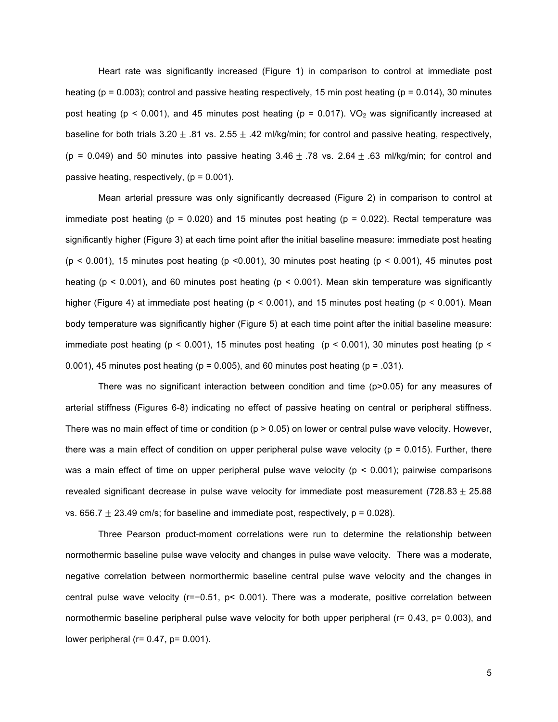Heart rate was significantly increased (Figure 1) in comparison to control at immediate post heating ( $p = 0.003$ ); control and passive heating respectively, 15 min post heating ( $p = 0.014$ ), 30 minutes post heating ( $p < 0.001$ ), and 45 minutes post heating ( $p = 0.017$ ). VO<sub>2</sub> was significantly increased at baseline for both trials  $3.20 \pm .81$  vs.  $2.55 \pm .42$  ml/kg/min; for control and passive heating, respectively, (p = 0.049) and 50 minutes into passive heating  $3.46 \pm .78$  vs.  $2.64 \pm .63$  ml/kg/min; for control and passive heating, respectively,  $(p = 0.001)$ .

Mean arterial pressure was only significantly decreased (Figure 2) in comparison to control at immediate post heating ( $p = 0.020$ ) and 15 minutes post heating ( $p = 0.022$ ). Rectal temperature was significantly higher (Figure 3) at each time point after the initial baseline measure: immediate post heating  $(p < 0.001)$ , 15 minutes post heating  $(p < 0.001)$ , 30 minutes post heating  $(p < 0.001)$ , 45 minutes post heating ( $p < 0.001$ ), and 60 minutes post heating ( $p < 0.001$ ). Mean skin temperature was significantly higher (Figure 4) at immediate post heating ( $p < 0.001$ ), and 15 minutes post heating ( $p < 0.001$ ). Mean body temperature was significantly higher (Figure 5) at each time point after the initial baseline measure: immediate post heating ( $p < 0.001$ ), 15 minutes post heating ( $p < 0.001$ ), 30 minutes post heating ( $p <$ 0.001), 45 minutes post heating ( $p = 0.005$ ), and 60 minutes post heating ( $p = 0.031$ ).

There was no significant interaction between condition and time (p>0.05) for any measures of arterial stiffness (Figures 6-8) indicating no effect of passive heating on central or peripheral stiffness. There was no main effect of time or condition ( $p > 0.05$ ) on lower or central pulse wave velocity. However, there was a main effect of condition on upper peripheral pulse wave velocity ( $p = 0.015$ ). Further, there was a main effect of time on upper peripheral pulse wave velocity ( $p < 0.001$ ); pairwise comparisons revealed significant decrease in pulse wave velocity for immediate post measurement (728.83  $\pm$  25.88 vs. 656.7  $\pm$  23.49 cm/s; for baseline and immediate post, respectively,  $p = 0.028$ ).

Three Pearson product-moment correlations were run to determine the relationship between normothermic baseline pulse wave velocity and changes in pulse wave velocity. There was a moderate, negative correlation between normorthermic baseline central pulse wave velocity and the changes in central pulse wave velocity (r=−0.51, p< 0.001). There was a moderate, positive correlation between normothermic baseline peripheral pulse wave velocity for both upper peripheral (r= 0.43, p= 0.003), and lower peripheral ( $r= 0.47$ ,  $p= 0.001$ ).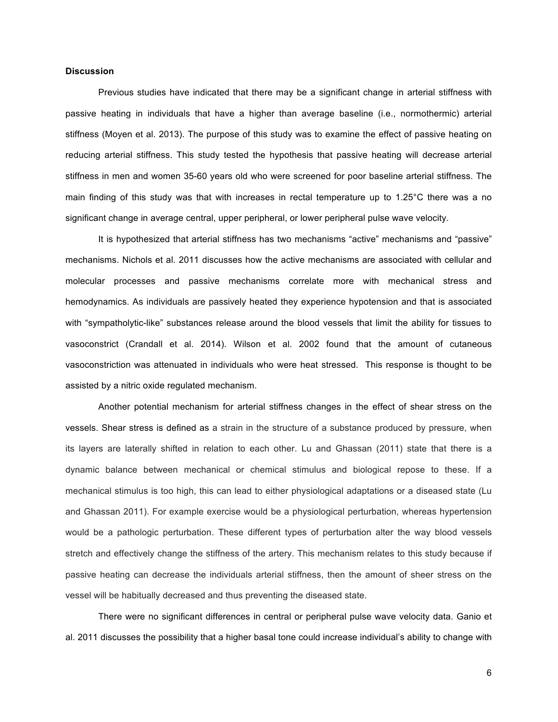## **Discussion**

Previous studies have indicated that there may be a significant change in arterial stiffness with passive heating in individuals that have a higher than average baseline (i.e., normothermic) arterial stiffness (Moyen et al. 2013). The purpose of this study was to examine the effect of passive heating on reducing arterial stiffness. This study tested the hypothesis that passive heating will decrease arterial stiffness in men and women 35-60 years old who were screened for poor baseline arterial stiffness. The main finding of this study was that with increases in rectal temperature up to 1.25°C there was a no significant change in average central, upper peripheral, or lower peripheral pulse wave velocity.

It is hypothesized that arterial stiffness has two mechanisms "active" mechanisms and "passive" mechanisms. Nichols et al. 2011 discusses how the active mechanisms are associated with cellular and molecular processes and passive mechanisms correlate more with mechanical stress and hemodynamics. As individuals are passively heated they experience hypotension and that is associated with "sympatholytic-like" substances release around the blood vessels that limit the ability for tissues to vasoconstrict (Crandall et al. 2014). Wilson et al. 2002 found that the amount of cutaneous vasoconstriction was attenuated in individuals who were heat stressed. This response is thought to be assisted by a nitric oxide regulated mechanism.

Another potential mechanism for arterial stiffness changes in the effect of shear stress on the vessels. Shear stress is defined as a strain in the structure of a substance produced by pressure, when its layers are laterally shifted in relation to each other. Lu and Ghassan (2011) state that there is a dynamic balance between mechanical or chemical stimulus and biological repose to these. If a mechanical stimulus is too high, this can lead to either physiological adaptations or a diseased state (Lu and Ghassan 2011). For example exercise would be a physiological perturbation, whereas hypertension would be a pathologic perturbation. These different types of perturbation alter the way blood vessels stretch and effectively change the stiffness of the artery. This mechanism relates to this study because if passive heating can decrease the individuals arterial stiffness, then the amount of sheer stress on the vessel will be habitually decreased and thus preventing the diseased state.

There were no significant differences in central or peripheral pulse wave velocity data. Ganio et al. 2011 discusses the possibility that a higher basal tone could increase individual's ability to change with

6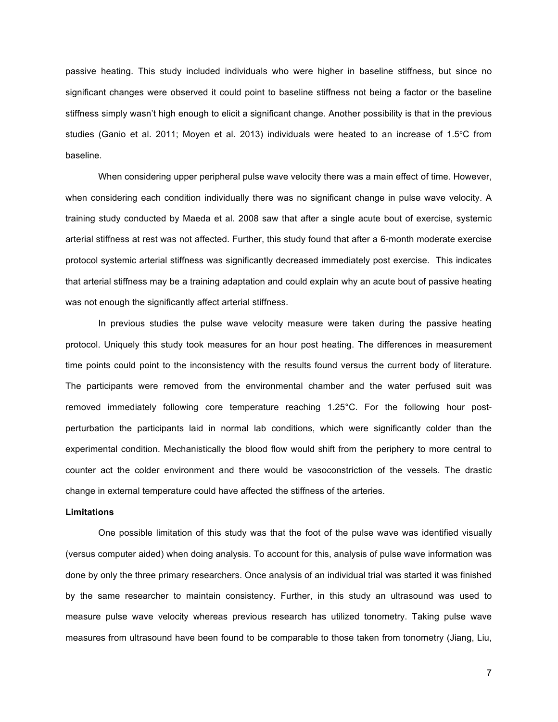passive heating. This study included individuals who were higher in baseline stiffness, but since no significant changes were observed it could point to baseline stiffness not being a factor or the baseline stiffness simply wasn't high enough to elicit a significant change. Another possibility is that in the previous studies (Ganio et al. 2011; Moyen et al. 2013) individuals were heated to an increase of 1.5°C from baseline.

When considering upper peripheral pulse wave velocity there was a main effect of time. However, when considering each condition individually there was no significant change in pulse wave velocity. A training study conducted by Maeda et al. 2008 saw that after a single acute bout of exercise, systemic arterial stiffness at rest was not affected. Further, this study found that after a 6-month moderate exercise protocol systemic arterial stiffness was significantly decreased immediately post exercise. This indicates that arterial stiffness may be a training adaptation and could explain why an acute bout of passive heating was not enough the significantly affect arterial stiffness.

In previous studies the pulse wave velocity measure were taken during the passive heating protocol. Uniquely this study took measures for an hour post heating. The differences in measurement time points could point to the inconsistency with the results found versus the current body of literature. The participants were removed from the environmental chamber and the water perfused suit was removed immediately following core temperature reaching 1.25°C. For the following hour postperturbation the participants laid in normal lab conditions, which were significantly colder than the experimental condition. Mechanistically the blood flow would shift from the periphery to more central to counter act the colder environment and there would be vasoconstriction of the vessels. The drastic change in external temperature could have affected the stiffness of the arteries.

## **Limitations**

One possible limitation of this study was that the foot of the pulse wave was identified visually (versus computer aided) when doing analysis. To account for this, analysis of pulse wave information was done by only the three primary researchers. Once analysis of an individual trial was started it was finished by the same researcher to maintain consistency. Further, in this study an ultrasound was used to measure pulse wave velocity whereas previous research has utilized tonometry. Taking pulse wave measures from ultrasound have been found to be comparable to those taken from tonometry (Jiang, Liu,

7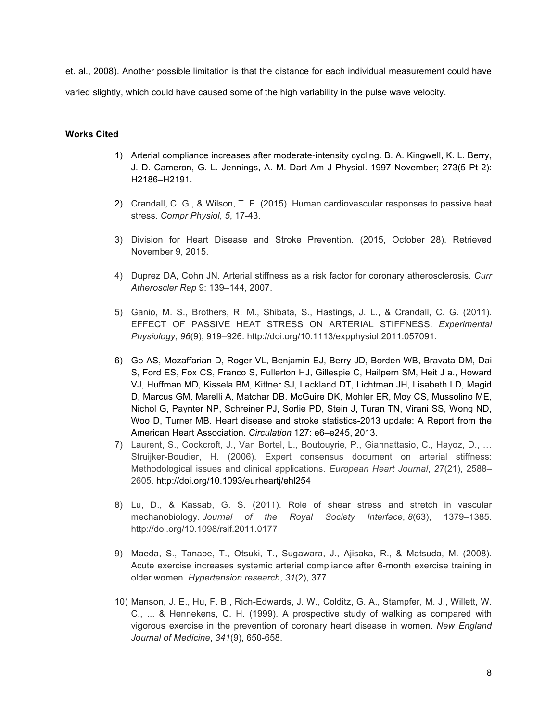et. al., 2008). Another possible limitation is that the distance for each individual measurement could have varied slightly, which could have caused some of the high variability in the pulse wave velocity.

## **Works Cited**

- 1) Arterial compliance increases after moderate-intensity cycling. B. A. Kingwell, K. L. Berry, J. D. Cameron, G. L. Jennings, A. M. Dart Am J Physiol. 1997 November; 273(5 Pt 2): H2186–H2191.
- 2) Crandall, C. G., & Wilson, T. E. (2015). Human cardiovascular responses to passive heat stress. *Compr Physiol*, *5*, 17-43.
- 3) Division for Heart Disease and Stroke Prevention. (2015, October 28). Retrieved November 9, 2015.
- 4) Duprez DA, Cohn JN. Arterial stiffness as a risk factor for coronary atherosclerosis. *Curr Atheroscler Rep* 9: 139–144, 2007.
- 5) Ganio, M. S., Brothers, R. M., Shibata, S., Hastings, J. L., & Crandall, C. G. (2011). EFFECT OF PASSIVE HEAT STRESS ON ARTERIAL STIFFNESS. *Experimental Physiology*, *96*(9), 919–926. http://doi.org/10.1113/expphysiol.2011.057091.
- 6) Go AS, Mozaffarian D, Roger VL, Benjamin EJ, Berry JD, Borden WB, Bravata DM, Dai S, Ford ES, Fox CS, Franco S, Fullerton HJ, Gillespie C, Hailpern SM, Heit J a., Howard VJ, Huffman MD, Kissela BM, Kittner SJ, Lackland DT, Lichtman JH, Lisabeth LD, Magid D, Marcus GM, Marelli A, Matchar DB, McGuire DK, Mohler ER, Moy CS, Mussolino ME, Nichol G, Paynter NP, Schreiner PJ, Sorlie PD, Stein J, Turan TN, Virani SS, Wong ND, Woo D, Turner MB. Heart disease and stroke statistics-2013 update: A Report from the American Heart Association. *Circulation* 127: e6–e245, 2013.
- 7) Laurent, S., Cockcroft, J., Van Bortel, L., Boutouyrie, P., Giannattasio, C., Hayoz, D., … Struijker-Boudier, H. (2006). Expert consensus document on arterial stiffness: Methodological issues and clinical applications. *European Heart Journal*, *27*(21), 2588– 2605. http://doi.org/10.1093/eurheartj/ehl254
- 8) Lu, D., & Kassab, G. S. (2011). Role of shear stress and stretch in vascular mechanobiology. *Journal of the Royal Society Interface*, *8*(63), 1379–1385. http://doi.org/10.1098/rsif.2011.0177
- 9) Maeda, S., Tanabe, T., Otsuki, T., Sugawara, J., Ajisaka, R., & Matsuda, M. (2008). Acute exercise increases systemic arterial compliance after 6-month exercise training in older women. *Hypertension research*, *31*(2), 377.
- 10) Manson, J. E., Hu, F. B., Rich-Edwards, J. W., Colditz, G. A., Stampfer, M. J., Willett, W. C., ... & Hennekens, C. H. (1999). A prospective study of walking as compared with vigorous exercise in the prevention of coronary heart disease in women. *New England Journal of Medicine*, *341*(9), 650-658.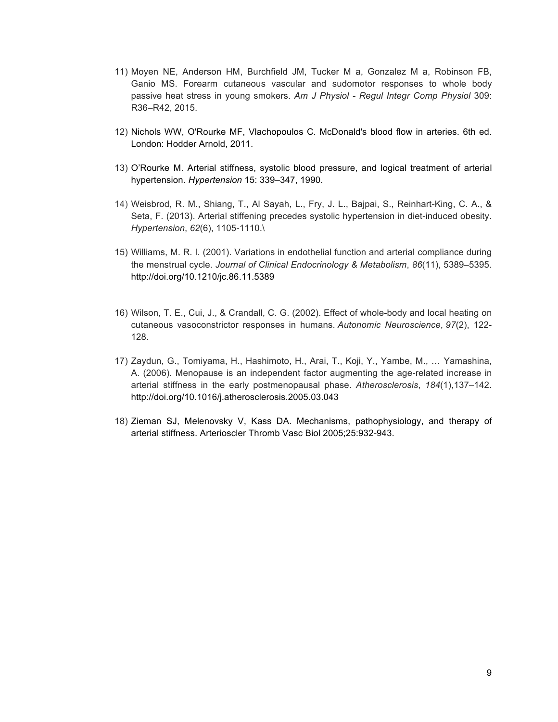- 11) Moyen NE, Anderson HM, Burchfield JM, Tucker M a, Gonzalez M a, Robinson FB, Ganio MS. Forearm cutaneous vascular and sudomotor responses to whole body passive heat stress in young smokers. *Am J Physiol - Regul Integr Comp Physiol* 309: R36–R42, 2015.
- 12) Nichols WW, O'Rourke MF, Vlachopoulos C. McDonald's blood flow in arteries. 6th ed. London: Hodder Arnold, 2011.
- 13) O'Rourke M. Arterial stiffness, systolic blood pressure, and logical treatment of arterial hypertension. *Hypertension* 15: 339–347, 1990.
- 14) Weisbrod, R. M., Shiang, T., Al Sayah, L., Fry, J. L., Bajpai, S., Reinhart-King, C. A., & Seta, F. (2013). Arterial stiffening precedes systolic hypertension in diet-induced obesity. *Hypertension*, *62*(6), 1105-1110.\
- 15) Williams, M. R. I. (2001). Variations in endothelial function and arterial compliance during the menstrual cycle. *Journal of Clinical Endocrinology & Metabolism*, *86*(11), 5389–5395. http://doi.org/10.1210/jc.86.11.5389
- 16) Wilson, T. E., Cui, J., & Crandall, C. G. (2002). Effect of whole-body and local heating on cutaneous vasoconstrictor responses in humans. *Autonomic Neuroscience*, *97*(2), 122- 128.
- 17) Zaydun, G., Tomiyama, H., Hashimoto, H., Arai, T., Koji, Y., Yambe, M., … Yamashina, A. (2006). Menopause is an independent factor augmenting the age-related increase in arterial stiffness in the early postmenopausal phase. *Atherosclerosis*, *184*(1),137–142. http://doi.org/10.1016/j.atherosclerosis.2005.03.043
- 18) Zieman SJ, Melenovsky V, Kass DA. Mechanisms, pathophysiology, and therapy of arterial stiffness. Arterioscler Thromb Vasc Biol 2005;25:932-943.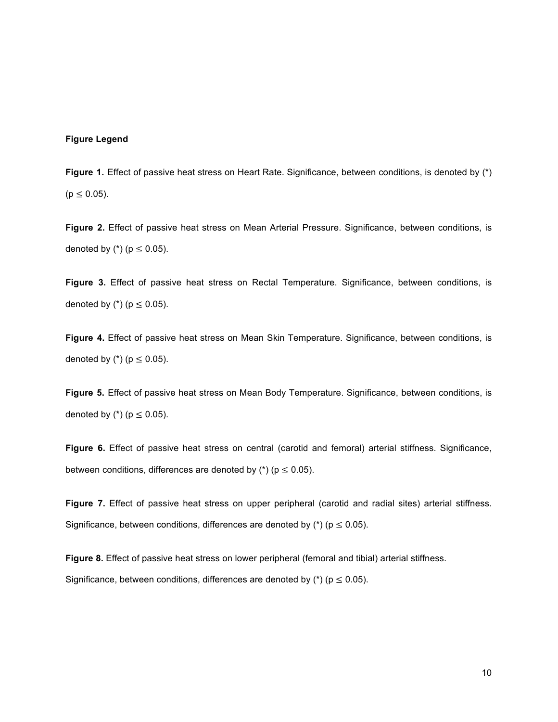## **Figure Legend**

Figure 1. Effect of passive heat stress on Heart Rate. Significance, between conditions, is denoted by (\*)  $(p \le 0.05)$ .

**Figure 2.** Effect of passive heat stress on Mean Arterial Pressure. Significance, between conditions, is denoted by  $(*)$  ( $p \le 0.05$ ).

**Figure 3.** Effect of passive heat stress on Rectal Temperature. Significance, between conditions, is denoted by  $(*)$  ( $p \le 0.05$ ).

**Figure 4.** Effect of passive heat stress on Mean Skin Temperature. Significance, between conditions, is denoted by  $(*)$  ( $p \le 0.05$ ).

**Figure 5.** Effect of passive heat stress on Mean Body Temperature. Significance, between conditions, is denoted by (\*) ( $p \le 0.05$ ).

**Figure 6.** Effect of passive heat stress on central (carotid and femoral) arterial stiffness. Significance, between conditions, differences are denoted by  $(*)$  ( $p \le 0.05$ ).

**Figure 7.** Effect of passive heat stress on upper peripheral (carotid and radial sites) arterial stiffness. Significance, between conditions, differences are denoted by  $(*)$  ( $p \le 0.05$ ).

**Figure 8.** Effect of passive heat stress on lower peripheral (femoral and tibial) arterial stiffness. Significance, between conditions, differences are denoted by (\*) ( $p \le 0.05$ ).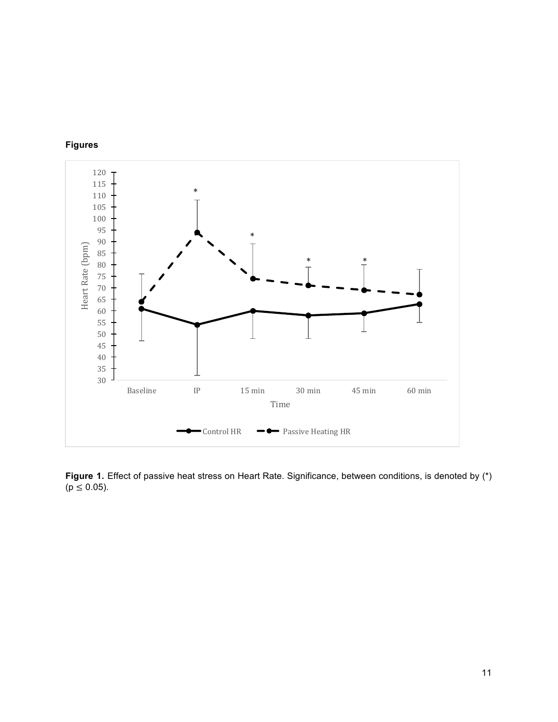



Figure 1. Effect of passive heat stress on Heart Rate. Significance, between conditions, is denoted by (\*)  $(p \le 0.05)$ .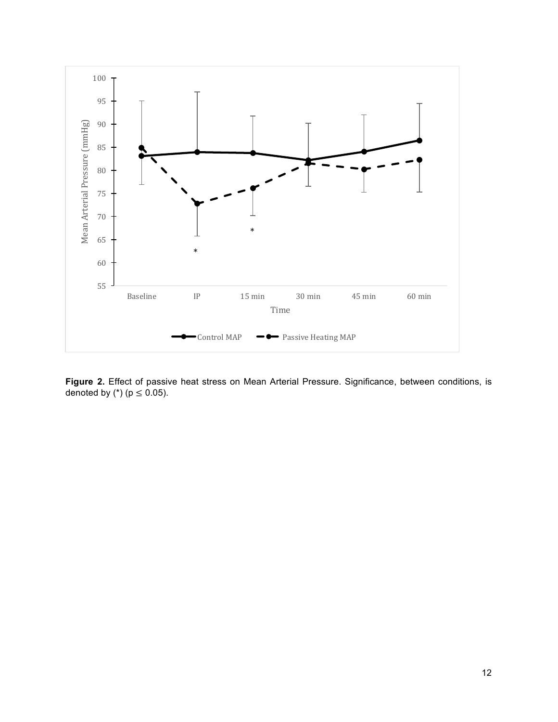

**Figure 2.** Effect of passive heat stress on Mean Arterial Pressure. Significance, between conditions, is denoted by  $(*)$  ( $p \le 0.05$ ).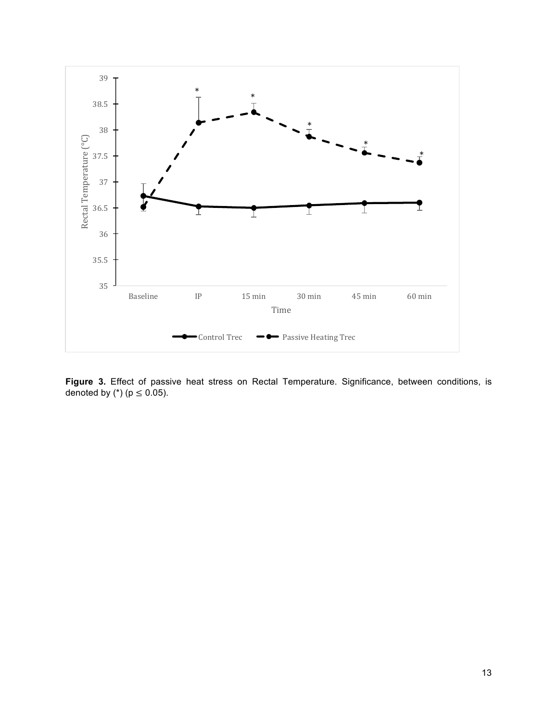

**Figure 3.** Effect of passive heat stress on Rectal Temperature. Significance, between conditions, is denoted by  $(*)$  ( $p \le 0.05$ ).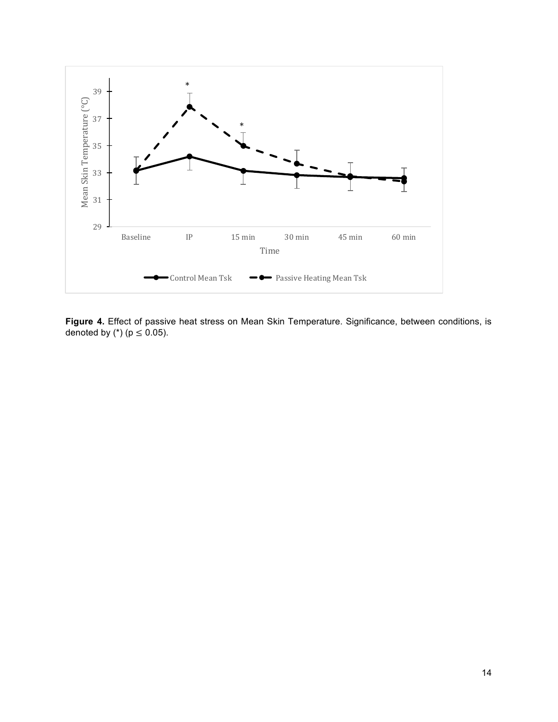

**Figure 4.** Effect of passive heat stress on Mean Skin Temperature. Significance, between conditions, is denoted by  $(*)$  ( $p \le 0.05$ ).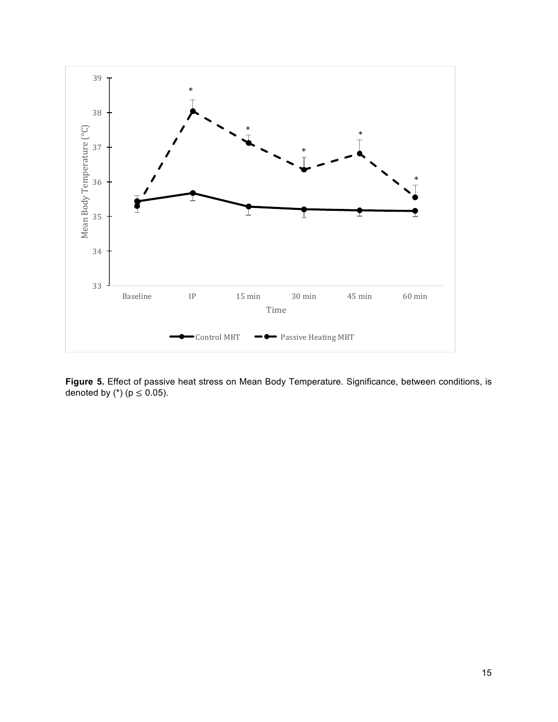

**Figure 5.** Effect of passive heat stress on Mean Body Temperature. Significance, between conditions, is denoted by  $(*)$  ( $p \le 0.05$ ).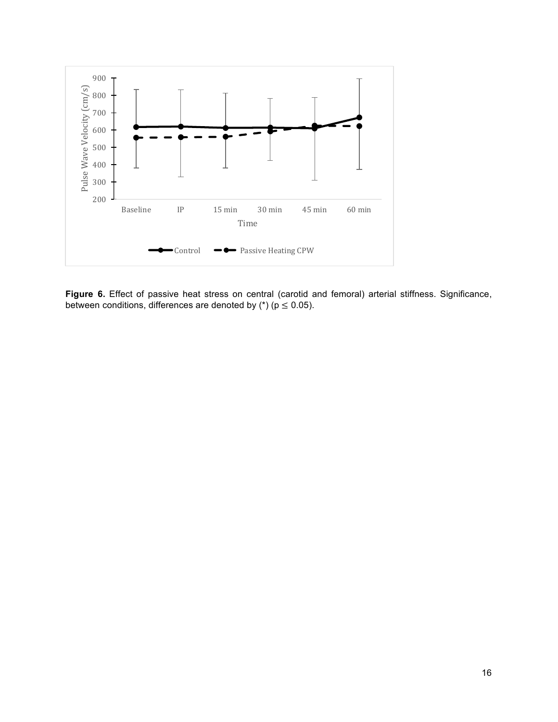

**Figure 6.** Effect of passive heat stress on central (carotid and femoral) arterial stiffness. Significance, between conditions, differences are denoted by  $(*)$  ( $p \le 0.05$ ).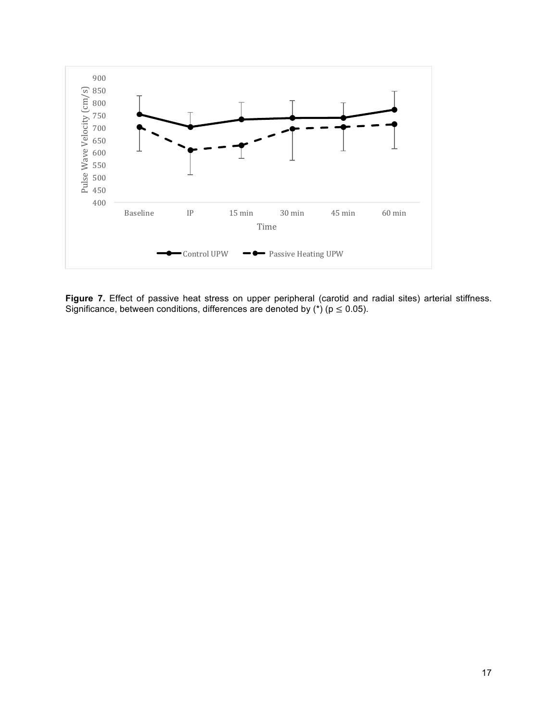

Figure 7. Effect of passive heat stress on upper peripheral (carotid and radial sites) arterial stiffness. Significance, between conditions, differences are denoted by  $(*)$  ( $p \le 0.05$ ).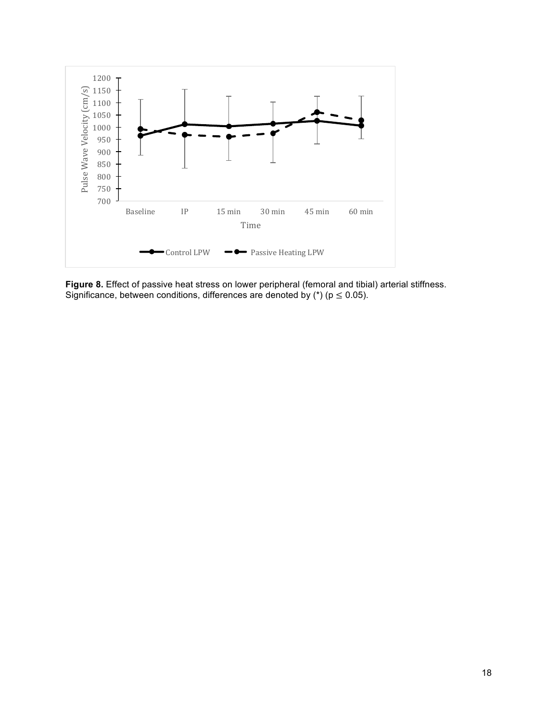

**Figure 8.** Effect of passive heat stress on lower peripheral (femoral and tibial) arterial stiffness. Significance, between conditions, differences are denoted by (\*) ( $p \le 0.05$ ).